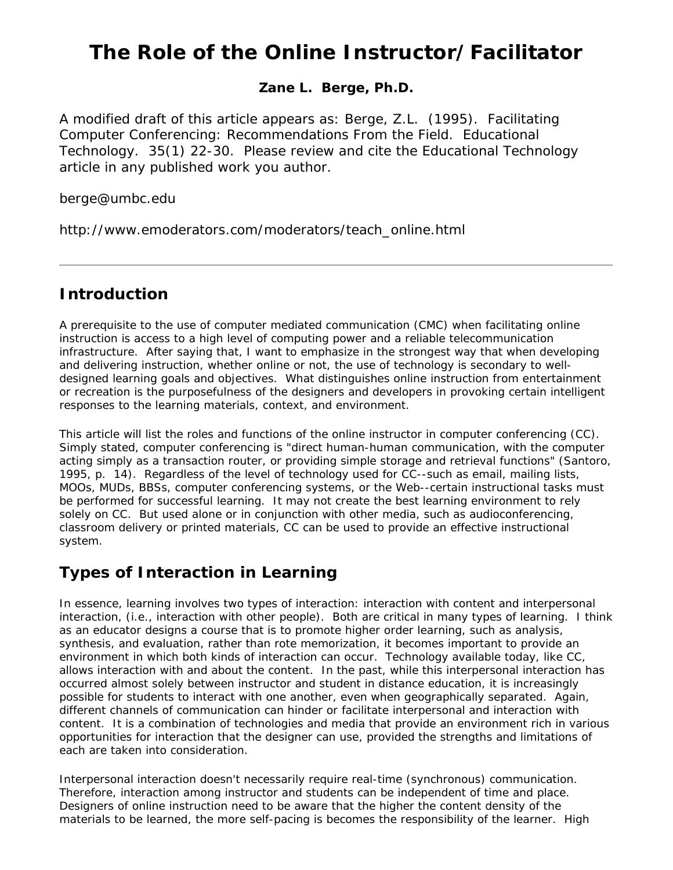# **The Role of the Online Instructor/Facilitator**

#### **Zane L. Berge, Ph.D.**

A modified draft of this article appears as: Berge, Z.L. (1995). Facilitating Computer Conferencing: Recommendations From the Field. Educational Technology. 35(1) 22-30. Please review and cite the Educational Technology article in any published work you author.

berge@umbc.edu

http://www.emoderators.com/moderators/teach\_online.html

### **Introduction**

A prerequisite to the use of computer mediated communication (CMC) when facilitating online instruction is access to a high level of computing power and a reliable telecommunication infrastructure. After saying that, I want to emphasize in the strongest way that when developing and delivering *instruction,* whether online or not, the use of technology is secondary to welldesigned learning goals and objectives. What distinguishes online instruction from entertainment or recreation is the purposefulness of the designers and developers in provoking certain intelligent responses to the learning materials, context, and environment.

This article will list the roles and functions of the online instructor in computer conferencing (CC). Simply stated, computer conferencing is "direct human-human communication, with the computer acting simply as a transaction router, or providing simple storage and retrieval functions" (Santoro, 1995, p. 14). Regardless of the level of technology used for CC--such as email, mailing lists, MOOs, MUDs, BBSs, computer conferencing systems, or the Web--certain instructional tasks must be performed for successful learning. It may not create the best learning environment to rely solely on CC. But used alone or in conjunction with other media, such as audioconferencing, classroom delivery or printed materials, CC can be used to provide an effective instructional system.

## **Types of Interaction in Learning**

In essence, learning involves two types of interaction: interaction with content and interpersonal interaction, (i.e., interaction with other people). Both are critical in many types of learning. I think as an educator designs a course that is to promote higher order learning, such as analysis, synthesis, and evaluation, rather than rote memorization, it becomes important to provide an environment in which both kinds of interaction can occur. Technology available today, like CC, allows interaction with and about the content. In the past, while this interpersonal interaction has occurred almost solely between instructor and student in distance education, it is increasingly possible for students to interact with one another, even when geographically separated. Again, different channels of communication can hinder or facilitate interpersonal and interaction with content. It is a combination of technologies and media that provide an environment rich in various opportunities for interaction that the designer can use, provided the strengths and limitations of each are taken into consideration.

Interpersonal interaction doesn't necessarily require real-time (synchronous) communication. Therefore, interaction among instructor and students can be independent of time and place. Designers of online instruction need to be aware that the higher the content density of the materials to be learned, the more self-pacing is becomes the responsibility of the learner. High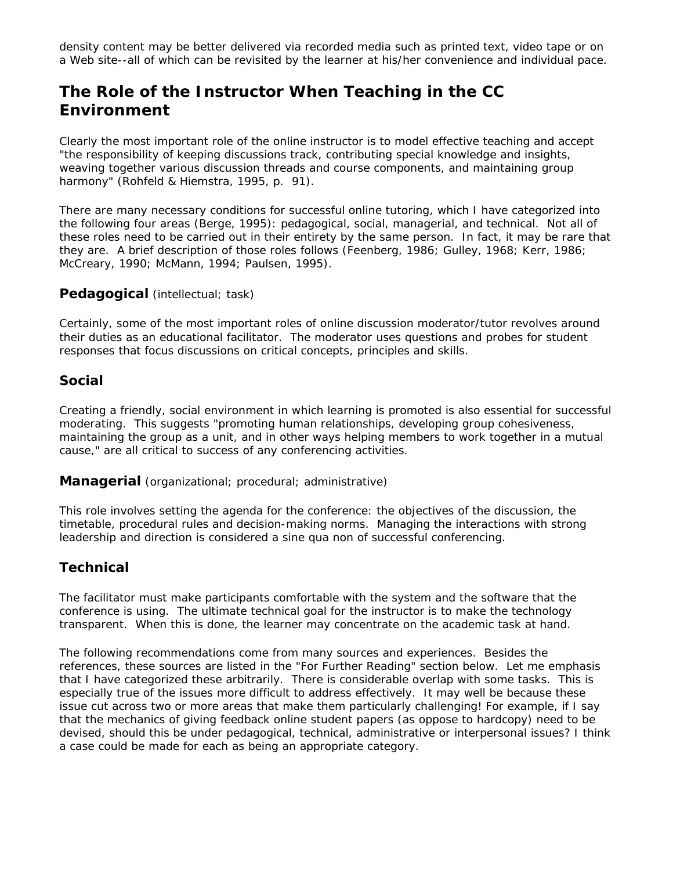density content may be better delivered via recorded media such as printed text, video tape or on a Web site--all of which can be revisited by the learner at his/her convenience and individual pace.

## **The Role of the Instructor When Teaching in the CC Environment**

Clearly the most important role of the online instructor is to model effective teaching and accept "the responsibility of keeping discussions track, contributing special knowledge and insights, weaving together various discussion threads and course components, and maintaining group harmony" (Rohfeld & Hiemstra, 1995, p. 91).

There are many necessary conditions for successful online tutoring, which I have categorized into the following four areas (Berge, 1995): pedagogical, social, managerial, and technical. Not all of these roles need to be carried out in their entirety by the same person. In fact, it may be rare that they are. A brief description of those roles follows (Feenberg, 1986; Gulley, 1968; Kerr, 1986; McCreary, 1990; McMann, 1994; Paulsen, 1995).

#### *Pedagogical* (intellectual; task)

Certainly, some of the most important roles of online discussion moderator/tutor revolves around their duties as an educational facilitator. The moderator uses questions and probes for student responses that focus discussions on critical concepts, principles and skills.

#### *Social*

Creating a friendly, social environment in which learning is promoted is also essential for successful moderating. This suggests "promoting human relationships, developing group cohesiveness, maintaining the group as a unit, and in other ways helping members to work together in a mutual cause," are all critical to success of any conferencing activities.

#### *Managerial* (organizational; procedural; administrative)

This role involves setting the agenda for the conference: the objectives of the discussion, the timetable, procedural rules and decision-making norms. Managing the interactions with strong leadership and direction is considered a sine qua non of successful conferencing.

#### *Technical*

The facilitator must make participants comfortable with the system and the software that the conference is using. The ultimate technical goal for the instructor is to make the technology transparent. When this is done, the learner may concentrate on the academic task at hand.

The following recommendations come from many sources and experiences. Besides the references, these sources are listed in the "For Further Reading" section below. Let me emphasis that I have categorized these arbitrarily. There is considerable overlap with some tasks. This is especially true of the issues more difficult to address effectively. It may well be because these issue cut across two or more areas that make them particularly challenging! For example, if I say that the mechanics of giving feedback online student papers (as oppose to hardcopy) need to be devised, should this be under pedagogical, technical, administrative or interpersonal issues? I think a case could be made for each as being an appropriate category.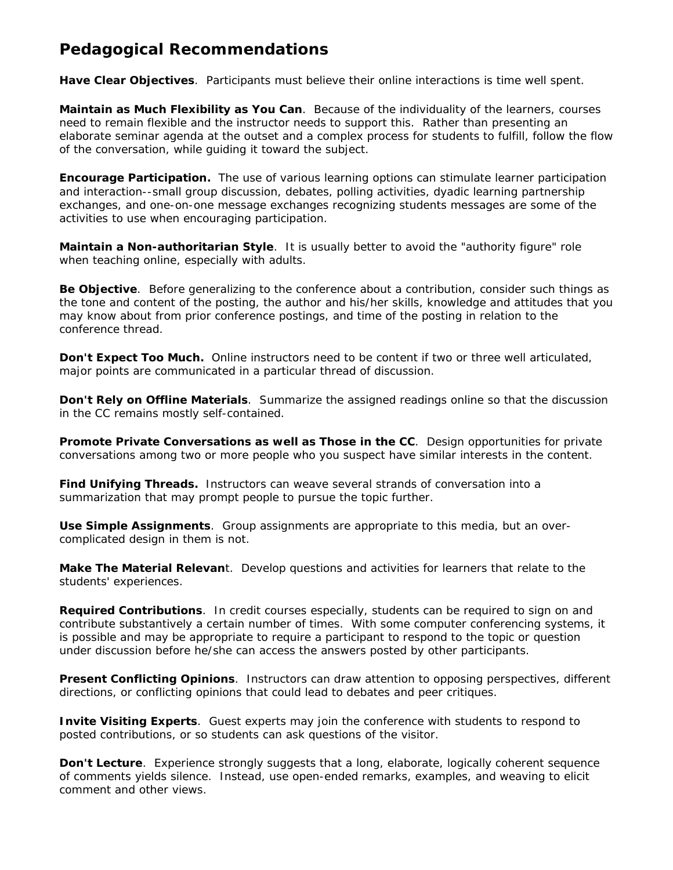## **Pedagogical Recommendations**

*Have Clear Objectives.* Participants must believe their online interactions is time well spent.

*Maintain as Much Flexibility as You Can*. Because of the individuality of the learners, courses need to remain flexible and the instructor needs to support this. Rather than presenting an elaborate seminar agenda at the outset and a complex process for students to fulfill, follow the flow of the conversation, while guiding it toward the subject.

*Encourage Participation***.** The use of various learning options can stimulate learner participation and interaction--small group discussion, debates, polling activities, dyadic learning partnership exchanges, and one-on-one message exchanges recognizing students messages are some of the activities to use when encouraging participation.

*Maintain a Non-authoritarian Style*. It is usually better to avoid the "authority figure" role when teaching online, especially with adults.

**Be Objective**. Before generalizing to the conference about a contribution, consider such things as the tone and content of the posting, the author and his/her skills, knowledge and attitudes that you may know about from prior conference postings, and time of the posting in relation to the conference thread.

**Don't Expect Too Much.** Online instructors need to be content if two or three well articulated, major points are communicated in a particular thread of discussion.

*Don't Rely on Offline Materials*. Summarize the assigned readings online so that the discussion in the CC remains mostly self-contained.

**Promote Private Conversations as well as Those in the CC**. Design opportunities for private conversations among two or more people who you suspect have similar interests in the content.

*Find Unifying Threads***.** Instructors can weave several strands of conversation into a summarization that may prompt people to pursue the topic further.

*Use Simple Assignments.* Group assignments are appropriate to this media, but an overcomplicated design in them is not.

*Make The Material Relevant*. Develop questions and activities for learners that relate to the students' experiences.

*Required Contributions.* In credit courses especially, students can be required to sign on and contribute substantively a certain number of times. With some computer conferencing systems, it is possible and may be appropriate to require a participant to respond to the topic or question under discussion before he/she can access the answers posted by other participants.

*Present Conflicting Opinions.* Instructors can draw attention to opposing perspectives, different directions, or conflicting opinions that could lead to debates and peer critiques.

**Invite Visiting Experts**. Guest experts may join the conference with students to respond to posted contributions, or so students can ask questions of the visitor.

*Don't Lecture.* Experience strongly suggests that a long, elaborate, logically coherent sequence of comments yields silence. Instead, use open-ended remarks, examples, and weaving to elicit comment and other views.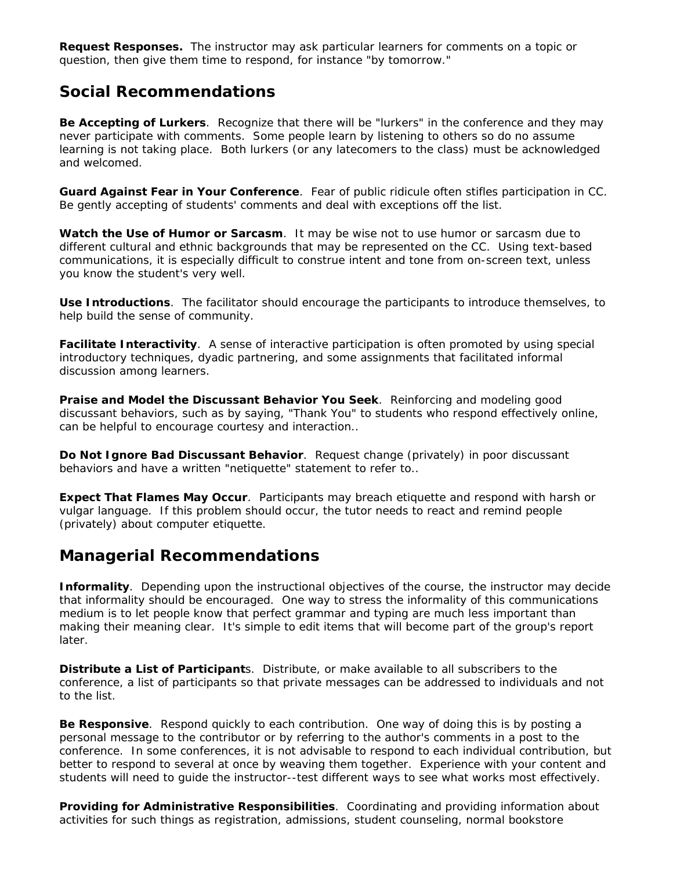*Request Responses***.** The instructor may ask particular learners for comments on a topic or question, then give them time to respond, for instance "by tomorrow."

### **Social Recommendations**

*Be Accepting of Lurkers.* Recognize that there will be "lurkers" in the conference and they may never participate with comments. Some people learn by listening to others so do no assume learning is not taking place. Both lurkers (or any latecomers to the class) must be acknowledged and welcomed.

*Guard Against Fear in Your Conference*. Fear of public ridicule often stifles participation in CC. Be gently accepting of students' comments and deal with exceptions off the list.

*Watch the Use of Humor or Sarcasm.* It may be wise not to use humor or sarcasm due to different cultural and ethnic backgrounds that may be represented on the CC. Using text-based communications, it is especially difficult to construe intent and tone from on-screen text, unless you know the student's very well.

*Use Introductions*. The facilitator should encourage the participants to introduce themselves, to help build the sense of community.

*Facilitate Interactivity.* A sense of interactive participation is often promoted by using special introductory techniques, dyadic partnering, and some assignments that facilitated informal discussion among learners.

*Praise and Model the Discussant Behavior You Seek.* Reinforcing and modeling good discussant behaviors, such as by saying, "Thank You" to students who respond effectively online, can be helpful to encourage courtesy and interaction..

*Do Not Ignore Bad Discussant Behavior.* Request change (privately) in poor discussant behaviors and have a written "netiquette" statement to refer to..

**Expect That Flames May Occur**. Participants may breach etiquette and respond with harsh or vulgar language. If this problem should occur, the tutor needs to react and remind people (privately) about computer etiquette.

## **Managerial Recommendations**

**Informality**. Depending upon the instructional objectives of the course, the instructor may decide that informality should be encouraged. One way to stress the informality of this communications medium is to let people know that perfect grammar and typing are much less important than making their meaning clear. It's simple to edit items that will become part of the group's report later.

*Distribute a List of Participants*. Distribute, or make available to all subscribers to the conference, a list of participants so that private messages can be addressed to individuals and not to the list.

*Be Responsive*. Respond quickly to each contribution. One way of doing this is by posting a personal message to the contributor or by referring to the author's comments in a post to the conference. In some conferences, it is not advisable to respond to each individual contribution, but better to respond to several at once by weaving them together. Experience with your content and students will need to guide the instructor--test different ways to see what works most effectively.

*Providing for Administrative Responsibilities*. Coordinating and providing information about activities for such things as registration, admissions, student counseling, normal bookstore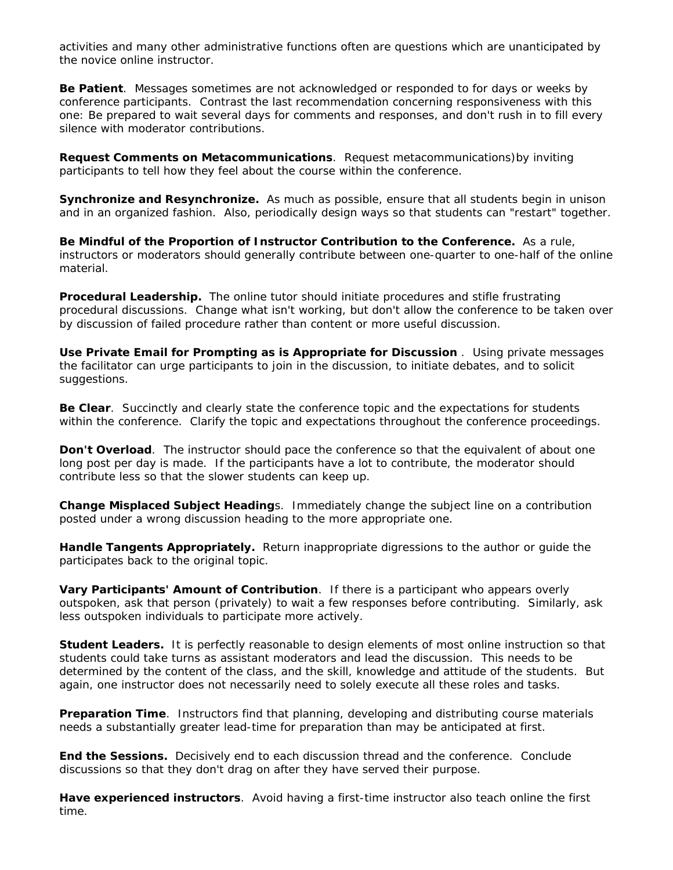activities and many other administrative functions often are questions which are unanticipated by the novice online instructor.

*Be Patient.* Messages sometimes are not acknowledged or responded to for days or weeks by conference participants. Contrast the last recommendation concerning responsiveness with this one: Be prepared to wait several days for comments and responses, and don't rush in to fill every silence with moderator contributions.

*Request Comments on Metacommunications*. Request metacommunications)by inviting participants to tell how they feel about the course within the conference.

*Synchronize and Resynchronize***.** As much as possible, ensure that all students begin in unison and in an organized fashion. Also, periodically design ways so that students can "restart" together.

*Be Mindful of the Proportion of Instructor Contribution to the Conference***.** As a rule, instructors or moderators should generally contribute between one-quarter to one-half of the online material.

*Procedural Leadership***.** The online tutor should initiate procedures and stifle frustrating procedural discussions. Change what isn't working, but don't allow the conference to be taken over by discussion of failed procedure rather than content or more useful discussion.

**Use Private Email for Prompting as is Appropriate for Discussion**. Using private messages the facilitator can urge participants to join in the discussion, to initiate debates, and to solicit suggestions.

**Be Clear.** Succinctly and clearly state the conference topic and the expectations for students within the conference. Clarify the topic and expectations throughout the conference proceedings.

**Don't Overload**. The instructor should pace the conference so that the equivalent of about one long post per day is made. If the participants have a lot to contribute, the moderator should contribute less so that the slower students can keep up.

*Change Misplaced Subject Headings*. Immediately change the subject line on a contribution posted under a wrong discussion heading to the more appropriate one.

*Handle Tangents Appropriately***.** Return inappropriate digressions to the author or guide the participates back to the original topic.

*Vary Participants' Amount of Contribution*. If there is a participant who appears overly outspoken, ask that person (privately) to wait a few responses before contributing. Similarly, ask less outspoken individuals to participate more actively.

*Student Leaders***.** It is perfectly reasonable to design elements of most online instruction so that students could take turns as assistant moderators and lead the discussion. This needs to be determined by the content of the class, and the skill, knowledge and attitude of the students. But again, one instructor does not necessarily need to solely execute *all* these roles and tasks.

*Preparation Time*. Instructors find that planning, developing and distributing course materials needs a substantially greater lead-time for preparation than may be anticipated at first.

*End the Sessions***.** Decisively end to each discussion thread and the conference. Conclude discussions so that they don't drag on after they have served their purpose.

*Have experienced instructors*. Avoid having a first-time instructor also teach online the first time.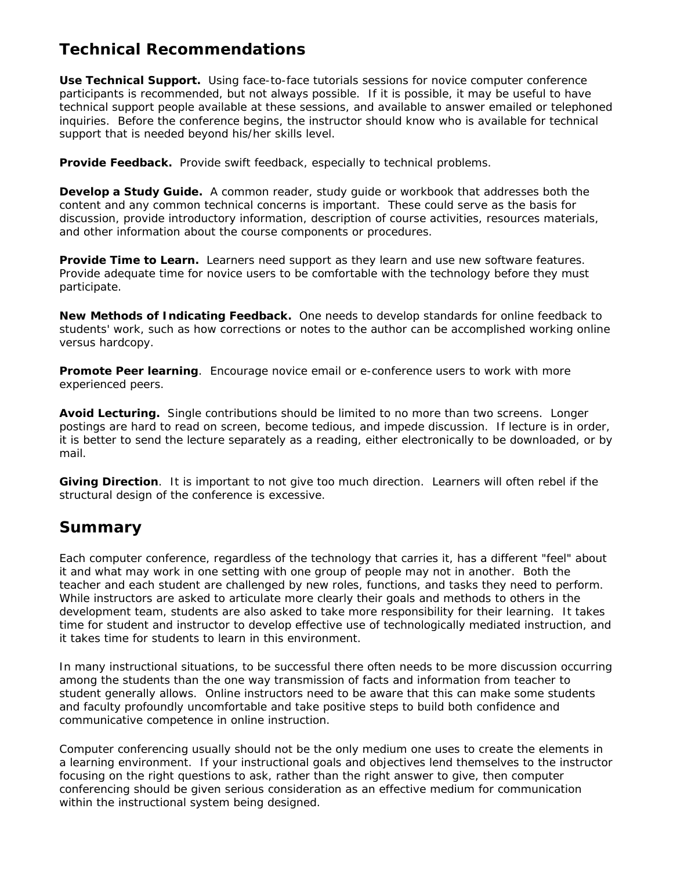## **Technical Recommendations**

*Use Technical Support***.** Using face-to-face tutorials sessions for novice computer conference participants is recommended, but not always possible. If it is possible, it may be useful to have technical support people available at these sessions, and available to answer emailed or telephoned inquiries. Before the conference begins, the instructor should know who is available for technical support that is needed beyond his/her skills level.

*Provide Feedback*. Provide swift feedback, especially to technical problems.

*Develop a Study Guide.* A common reader, study guide or workbook that addresses both the content and any common technical concerns is important. These could serve as the basis for discussion, provide introductory information, description of course activities, resources materials, and other information about the course components or procedures.

**Provide Time to Learn.** Learners need support as they learn and use new software features. Provide adequate time for novice users to be comfortable with the technology before they must participate.

*New Methods of Indicating Feedback***.** One needs to develop standards for online feedback to students' work, such as how corrections or notes to the author can be accomplished working online versus hardcopy.

**Promote Peer learning**. Encourage novice email or e-conference users to work with more experienced peers.

*Avoid Lecturing***.** Single contributions should be limited to no more than two screens. Longer postings are hard to read on screen, become tedious, and impede discussion. If lecture is in order, it is better to send the lecture separately as a reading, either electronically to be downloaded, or by mail.

*Giving Direction*. It is important to not give too much direction. Learners will often rebel if the structural design of the conference is excessive.

## **Summary**

Each computer conference, regardless of the technology that carries it, has a different "feel" about it and what may work in one setting with one group of people may not in another. Both the teacher and each student are challenged by new roles, functions, and tasks they need to perform. While instructors are asked to articulate more clearly their goals and methods to others in the development team, students are also asked to take more responsibility for their learning. It takes time for student and instructor to develop effective use of technologically mediated instruction, and it takes time for students to learn in this environment.

In many instructional situations, to be successful there often needs to be more discussion occurring among the students than the one way transmission of facts and information from teacher to student generally allows. Online instructors need to be aware that this can make some students and faculty profoundly uncomfortable and take positive steps to build both confidence and communicative competence in online instruction.

Computer conferencing usually should not be the only medium one uses to create the elements in a learning environment. If your instructional goals and objectives lend themselves to the instructor focusing on the right questions to ask, rather than the right answer to give, then computer conferencing should be given serious consideration as an effective medium for communication within the instructional system being designed.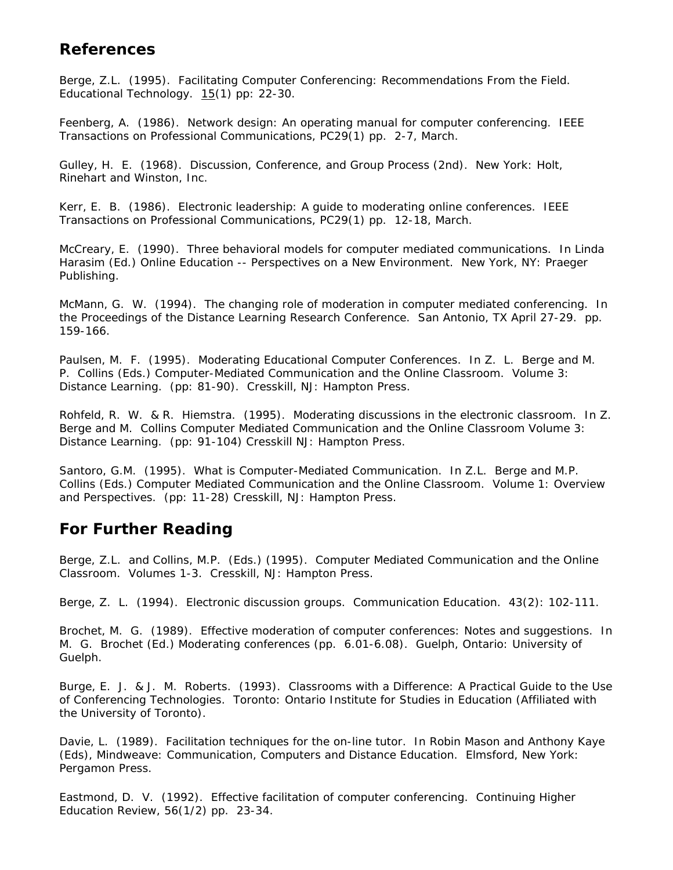## **References**

Berge, Z.L. (1995). Facilitating Computer Conferencing: Recommendations From the Field. *Educational Technology*. 15(1) pp: 22-30.

Feenberg, A. (1986). Network design: An operating manual for computer conferencing. *IEEE Transactions on Professional Communications*, PC29(1) pp. 2-7, March.

Gulley, H. E. (1968). *Discussion, Conference, and Group Process* (2nd). New York: Holt, Rinehart and Winston, Inc.

Kerr, E. B. (1986). Electronic leadership: A guide to moderating online conferences. *IEEE Transactions on Professional Communications*, PC29(1) pp. 12-18, March.

McCreary, E. (1990). Three behavioral models for computer mediated communications. In Linda Harasim (Ed.) *Online Education -- Perspectives on a New Environment*. New York, NY: Praeger Publishing.

McMann, G. W. (1994). The changing role of moderation in computer mediated conferencing. In the *Proceedings of the Distance Learning Research Conference*. San Antonio, TX April 27-29. pp. 159-166.

Paulsen, M. F. (1995). Moderating Educational Computer Conferences. In Z. L. Berge and M. P. Collins (Eds.) *Computer-Mediated Communication and the Online Classroom. Volume 3: Distance Learning.* (pp: 81-90). Cresskill, NJ: Hampton Press.

Rohfeld, R. W. & R. Hiemstra. (1995). Moderating discussions in the electronic classroom. In Z. Berge and M. Collins *Computer Mediated Communication and the Online Classroom Volume 3: Distance Learning*. (pp: 91-104) Cresskill NJ: Hampton Press.

Santoro, G.M. (1995). What is Computer-Mediated Communication. In Z.L. Berge and M.P. Collins (Eds.) *Computer Mediated Communication and the Online Classroom. Volume 1: Overview and Perspectives.* (pp: 11-28) Cresskill, NJ: Hampton Press.

## **For Further Reading**

Berge, Z.L. and Collins, M.P. (Eds.) (1995). *Computer Mediated Communication and the Online Classroom.* Volumes 1-3. Cresskill, NJ: Hampton Press.

Berge, Z. L. (1994). Electronic discussion groups. *Communication Education*. 43(2): 102-111.

Brochet, M. G. (1989). Effective moderation of computer conferences: Notes and suggestions. In M. G. Brochet (Ed.) *Moderating conferences* (pp. 6.01-6.08). Guelph, Ontario: University of Guelph.

Burge, E. J. & J. M. Roberts. (1993). Classrooms with a Difference: A Practical Guide to the Use of Conferencing Technologies. Toronto: Ontario Institute for Studies in Education (Affiliated with the University of Toronto).

Davie, L. (1989). Facilitation techniques for the on-line tutor. In Robin Mason and Anthony Kaye (Eds), *Mindweave: Communication, Computers and Distance Education*. Elmsford, New York: Pergamon Press.

Eastmond, D. V. (1992). Effective facilitation of computer conferencing. *Continuing Higher Education Review*, 56(1/2) pp. 23-34.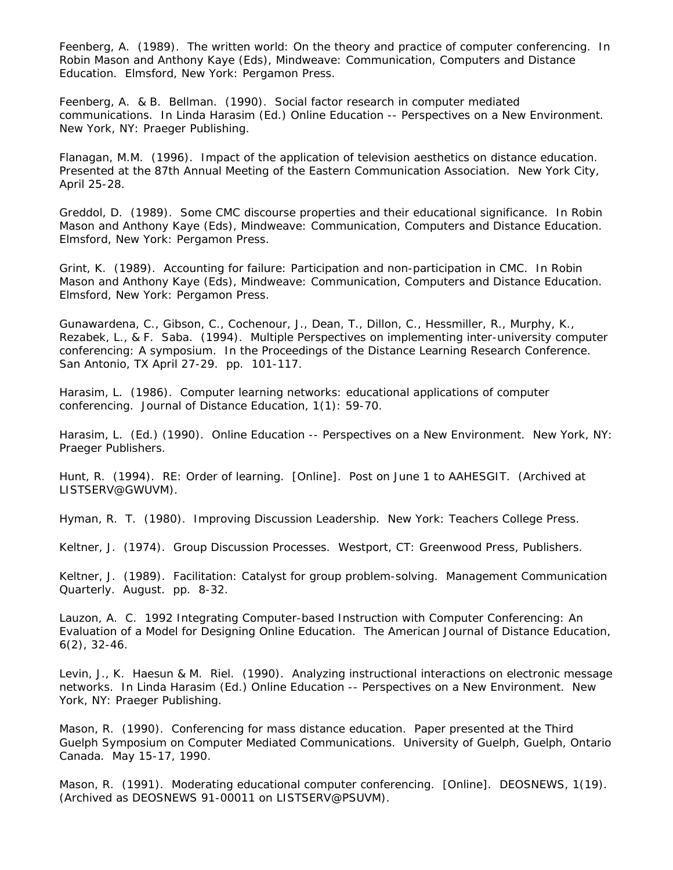Feenberg, A. (1989). The written world: On the theory and practice of computer conferencing. In Robin Mason and Anthony Kaye (Eds), *Mindweave: Communication, Computers and Distance Education*. Elmsford, New York: Pergamon Press.

Feenberg, A. & B. Bellman. (1990). Social factor research in computer mediated communications. In Linda Harasim (Ed.) *Online Education -- Perspectives on a New Environment*. New York, NY: Praeger Publishing.

Flanagan, M.M. (1996). Impact of the application of television aesthetics on distance education. Presented at the *87th Annual Meeting of the Eastern Communication Association*. New York City, April 25-28.

Greddol, D. (1989). Some CMC discourse properties and their educational significance. In Robin Mason and Anthony Kaye (Eds), *Mindweave: Communication, Computers and Distance Education.*  Elmsford, New York: Pergamon Press.

Grint, K. (1989). Accounting for failure: Participation and non-participation in CMC. In Robin Mason and Anthony Kaye (Eds), *Mindweave: Communication, Computers and Distance Education.*  Elmsford, New York: Pergamon Press.

Gunawardena, C., Gibson, C., Cochenour, J., Dean, T., Dillon, C., Hessmiller, R., Murphy, K., Rezabek, L., & F. Saba. (1994). Multiple Perspectives on implementing inter-university computer conferencing: A symposium. In the *Proceedings of the Distance Learning Research Conference.*  San Antonio, TX April 27-29. pp. 101-117.

Harasim, L. (1986). Computer learning networks: educational applications of computer conferencing. *Journal of Distance Education,* 1(1): 59-70.

Harasim, L. (Ed.) (1990). *Online Education -- Perspectives on a New Environment*. New York, NY: Praeger Publishers.

Hunt, R. (1994). RE: Order of learning. [Online]. Post on June 1 to AAHESGIT. (Archived at LISTSERV@GWUVM).

Hyman, R. T. (1980). *Improving Discussion Leadership*. New York: Teachers College Press.

Keltner, J. (1974). *Group Discussion Processes*. Westport, CT: Greenwood Press, Publishers.

Keltner, J. (1989). Facilitation: Catalyst for group problem-solving. *Management Communication Quarterly*. August. pp. 8-32.

Lauzon, A. C. 1992 Integrating Computer-based Instruction with Computer Conferencing: An Evaluation of a Model for Designing Online Education. *The American Journal of Distance Education*, 6(2), 32-46.

Levin, J., K. Haesun & M. Riel. (1990). Analyzing instructional interactions on electronic message networks. In Linda Harasim (Ed.) *Online Education -- Perspectives on a New Environment*. New York, NY: Praeger Publishing.

Mason, R. (1990). Conferencing for mass distance education. Paper presented at the Third Guelph Symposium on Computer Mediated Communications. University of Guelph, Guelph, Ontario Canada. May 15-17, 1990.

Mason, R. (1991). Moderating educational computer conferencing. [Online]. DEOSNEWS, 1(19). (Archived as DEOSNEWS 91-00011 on LISTSERV@PSUVM).